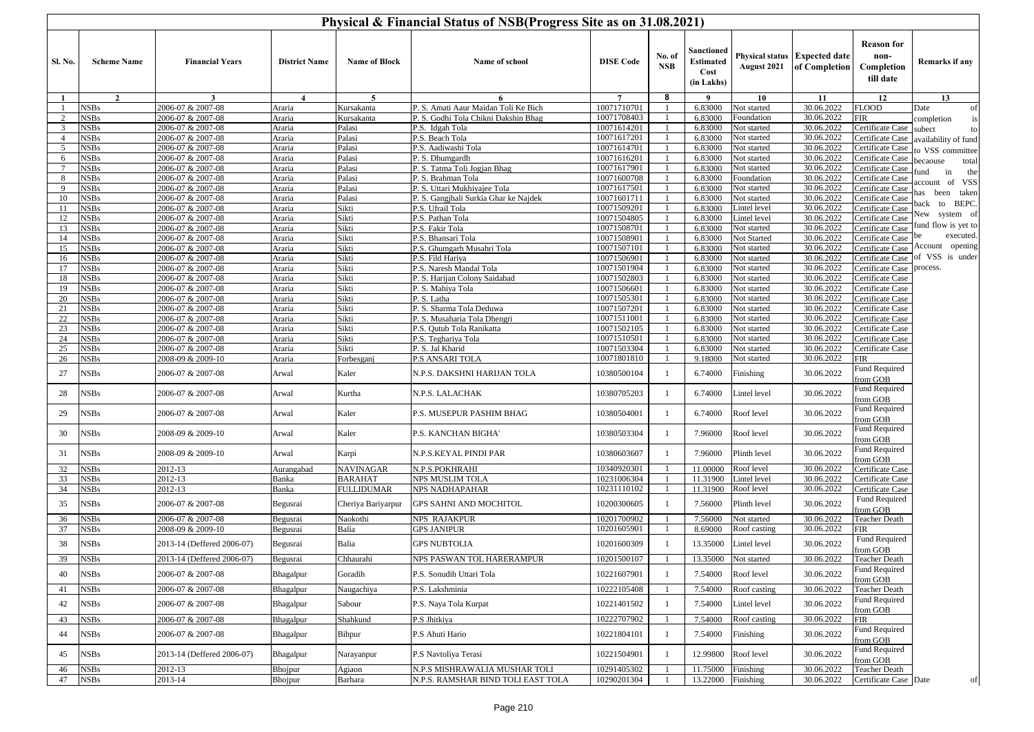|                     |                            |                                        |                         |                                     | Physical & Financial Status of NSB(Progress Site as on 31.08.2021) |                            |                      |                                                      |                            |                                                |                                                      |                       |
|---------------------|----------------------------|----------------------------------------|-------------------------|-------------------------------------|--------------------------------------------------------------------|----------------------------|----------------------|------------------------------------------------------|----------------------------|------------------------------------------------|------------------------------------------------------|-----------------------|
| <b>Sl. No.</b>      | <b>Scheme Name</b>         | <b>Financial Years</b>                 | <b>District Name</b>    | <b>Name of Block</b>                | Name of school                                                     | <b>DISE Code</b>           | No. of<br><b>NSB</b> | Sanctioned<br><b>Estimated</b><br>Cost<br>(in Lakhs) | August 2021                | Physical status Expected date<br>of Completion | <b>Reason for</b><br>non-<br>Completion<br>till date | <b>Remarks if any</b> |
| -1                  | $\overline{2}$             | $\overline{\mathbf{3}}$                | $\overline{\mathbf{4}}$ | 5                                   | 6                                                                  | $7\overline{ }$            | 8                    | 9                                                    | 10                         | 11                                             | 12                                                   | 13                    |
|                     | <b>NSBs</b>                | 2006-07 & 2007-08                      | Araria                  | Kursakanta                          | P. S. Amati Aaur Maidan Toli Ke Bich                               | 10071710701                |                      | 6.83000                                              | Not started                | 30.06.2022                                     | <b>FLOOD</b>                                         | Date<br>of            |
| 2                   | <b>NSBs</b>                | 2006-07 & 2007-08                      | Araria                  | Kursakanta                          | P. S. Godhi Tola Chikni Dakshin Bhag                               | 10071708403                |                      | 6.83000                                              | Foundation                 | 30.06.2022                                     | FIR                                                  | completion            |
| $\mathbf{3}$        | <b>NSBs</b>                | 2006-07 & 2007-08                      | Araria                  | Palasi                              | P.S. Idgah Tola                                                    | 10071614201                |                      | 6.83000                                              | Not started                | 30.06.2022                                     | Certificate Case                                     | subect<br>to          |
| $\overline{4}$      | <b>NSBs</b>                | 2006-07 & 2007-08                      | Araria                  | Palasi                              | P.S. Beach Tola                                                    | 10071617201                |                      | 6.83000                                              | Not started                | 30.06.2022                                     | Certificate Case                                     | availability of fund  |
| 5                   | <b>NSBs</b>                | 2006-07 & 2007-08                      | Araria                  | Palasi                              | P.S. Aadiwashi Tola                                                | 10071614701<br>10071616201 |                      | 6.83000                                              | Not started                | 30.06.2022<br>30.06.2022                       | Certificate Case                                     | o VSS committee       |
| 6<br>$\overline{7}$ | <b>NSBs</b><br><b>NSBs</b> | 2006-07 & 2007-08<br>2006-07 & 2007-08 | Araria<br>Araria        | Palasi<br>Palasi                    | P. S. Dhumgardh<br>P. S. Tatma Toli Jogjan Bhag                    | 10071617901                |                      | 6.83000<br>6.83000                                   | Not started<br>Not started | 30.06.2022                                     | <b>Certificate Case</b><br>Certificate Case          | total<br>becaouse     |
| 8                   | <b>NSBs</b>                | 2006-07 & 2007-08                      | Araria                  | Palasi                              | P. S. Brahman Tola                                                 | 10071600708                |                      | 6.83000                                              | Foundation                 | 30.06.2022                                     | Certificate Case                                     | in<br>the<br>und      |
| 9                   | <b>NSBs</b>                | 2006-07 & 2007-08                      | Araria                  | Palasi                              | P. S. Uttari Mukhiyajee Tola                                       | 10071617501                |                      | 6.83000                                              | Not started                | 30.06.2022                                     | Certificate Case                                     | account of VSS        |
| 10                  | <b>NSBs</b>                | 2006-07 & 2007-08                      | Araria                  | Palasi                              | P. S. Gangjhali Surkia Ghar ke Najdek                              | 10071601711                |                      | 6.83000                                              | Not started                | 30.06.2022                                     | <b>Certificate Case</b>                              | been taken<br>has     |
| 11                  | <b>NSBs</b>                | 2006-07 & 2007-08                      | Araria                  | Sikti                               | P.S. Ufrail Tola                                                   | 10071509201                |                      | 6.83000                                              | Lintel level               | 30.06.2022                                     | Certificate Case                                     | to BEPC.<br>back      |
| 12                  | <b>NSBs</b>                | 2006-07 & 2007-08                      | Araria                  | Sikti                               | P.S. Pathan Tola                                                   | 10071504805                |                      | 6.83000                                              | Lintel level               | 30.06.2022                                     | Certificate Case                                     | New system of         |
| 13                  | <b>NSBs</b>                | 2006-07 & 2007-08                      | Araria                  | Sikti                               | P.S. Fakir Tola                                                    | 10071508701                |                      | 6.83000                                              | Not started                | 30.06.2022                                     | Certificate Case                                     | fund flow is yet to   |
| 14                  | <b>NSBs</b>                | 2006-07 & 2007-08                      | Araria                  | Sikti                               | P.S. Bhansari Tola                                                 | 10071508901                |                      | 6.83000                                              | Not Started                | 30.06.2022                                     | Certificate Case                                     | executed.<br>be       |
| 15                  | <b>NSBs</b>                | 2006-07 & 2007-08                      | Araria                  | Sikti                               | P.S. Ghumgarh Musahri Tola                                         | 10071507101                |                      | 6.83000                                              | Not started                | 30.06.2022                                     | Certificate Case                                     | Account opening       |
| 16                  | <b>NSBs</b>                | 2006-07 & 2007-08                      | Araria                  | Sikti                               | P.S. Fild Hariya                                                   | 10071506901                |                      | 6.83000                                              | Not started                | 30.06.2022                                     | Certificate Case                                     | of VSS is under       |
| 17                  | <b>NSBs</b>                | 2006-07 & 2007-08                      | Araria                  | Sikti                               | P.S. Naresh Mandal Tola                                            | 10071501904                |                      | 6.83000                                              | Not started                | 30.06.2022                                     | Certificate Case                                     | process.              |
| 18                  | <b>NSBs</b>                | 2006-07 & 2007-08                      | Araria                  | Sikti                               | P. S. Harijan Colony Saidabad                                      | 10071502803<br>10071506601 |                      | 6.83000                                              | Not started                | 30.06.2022<br>30.06.2022                       | Certificate Case                                     |                       |
| 19<br>20            | <b>NSBs</b><br><b>NSBs</b> | 2006-07 & 2007-08<br>2006-07 & 2007-08 | Araria<br>Araria        | Sikti<br>Sikti                      | P. S. Mahiya Tola<br>P. S. Latha                                   | 10071505301                |                      | 6.83000<br>6.83000                                   | Not started<br>Not started | 30.06.2022                                     | <b>Certificate Case</b><br>Certificate Case          |                       |
| 21                  | <b>NSBs</b>                | 2006-07 & 2007-08                      | Araria                  | Sikti                               | P. S. Sharma Tola Deduwa                                           | 10071507201                |                      | 6.83000                                              | Not started                | 30.06.2022                                     | Certificate Case                                     |                       |
| 22                  | <b>NSBs</b>                | 2006-07 & 2007-08                      | Araria                  | Sikti                               | P. S. Musaharia Tola Dhengri                                       | 10071511001                |                      | 6.83000                                              | Not started                | 30.06.2022                                     | Certificate Case                                     |                       |
| 23                  | <b>NSBs</b>                | 2006-07 & 2007-08                      | Araria                  | Sikti                               | P.S. Qutub Tola Ranikatta                                          | 10071502105                |                      | 6.83000                                              | Not started                | 30.06.2022                                     | <b>Certificate Case</b>                              |                       |
| 24                  | <b>NSBs</b>                | 2006-07 & 2007-08                      | Araria                  | Sikti                               | P.S. Teghariya Tola                                                | 10071510501                |                      | 6.83000                                              | Not started                | 30.06.2022                                     | Certificate Case                                     |                       |
| 25                  | <b>NSBs</b>                | 2006-07 & 2007-08                      | Araria                  | Sikti                               | P. S. Jal Kharid                                                   | 10071503304                |                      | 6.83000                                              | Not started                | 30.06.2022                                     | Certificate Case                                     |                       |
| 26                  | <b>NSBs</b>                | 2008-09 & 2009-10                      | Araria                  | Forbesganj                          | P.S ANSARI TOLA                                                    | 10071801810                |                      | 9.18000                                              | Not started                | 30.06.2022                                     | FIR                                                  |                       |
| 27                  | <b>NSBs</b>                | 2006-07 & 2007-08                      | Arwal                   | Kaler                               | N.P.S. DAKSHNI HARIJAN TOLA                                        | 10380500104                |                      | 6.74000                                              | Finishing                  | 30.06.2022                                     | Fund Required<br>from GOB                            |                       |
| 28                  | <b>NSBs</b>                | 2006-07 & 2007-08                      | Arwal                   | Kurtha                              | N.P.S. LALACHAK                                                    | 10380705203                |                      | 6.74000                                              | Lintel level               | 30.06.2022                                     | Fund Required<br>from GOB                            |                       |
| 29                  | <b>NSBs</b>                | 2006-07 & 2007-08                      | Arwal                   | Kaler                               | P.S. MUSEPUR PASHIM BHAG                                           | 10380504001                |                      | 6.74000                                              | Roof level                 | 30.06.2022                                     | Fund Required<br><b>From GOB</b>                     |                       |
| 30                  | <b>NSBs</b>                | 2008-09 & 2009-10                      | Arwal                   | Kaler                               | P.S. KANCHAN BIGHA'                                                | 10380503304                | $\overline{1}$       | 7.96000                                              | Roof level                 | 30.06.2022                                     | Fund Required<br>from GOB                            |                       |
| 31                  | <b>NSBs</b>                | 2008-09 & 2009-10                      | Arwal                   | Karpi                               | N.P.S.KEYAL PINDI PAR                                              | 10380603607                |                      | 7.96000                                              | Plinth level               | 30.06.2022                                     | Fund Required<br>from GOB                            |                       |
| 32                  | <b>NSBs</b>                | 2012-13                                | Aurangabad              | <b>NAVINAGAR</b>                    | N.P.S.POKHRAHI                                                     | 10340920301                |                      | 11.00000                                             | Roof level                 | 30.06.2022                                     | Certificate Case                                     |                       |
| 33<br>34            | <b>NSBs</b><br><b>NSBs</b> | 2012-13<br>2012-13                     | Banka<br>Banka          | <b>BARAHAT</b><br><b>FULLIDUMAR</b> | NPS MUSLIM TOLA<br><b>NPS NADHAPAHAR</b>                           | 10231006304<br>10231110102 |                      | 11.31900<br>11.31900                                 | Lintel level<br>Roof level | 30.06.2022<br>30.06.2022                       | Certificate Case<br>Certificate Case                 |                       |
| 35                  | <b>NSBs</b>                | 2006-07 & 2007-08                      | Begusrai                | Cheriya Bariyarpur                  | GPS SAHNI AND MOCHITOL                                             | 10200300605                |                      | 7.56000                                              | Plinth level               | 30.06.2022                                     | Fund Required<br>from GOB                            |                       |
| 36                  | <b>NSBs</b>                | 2006-07 & 2007-08                      | Begusrai                | Naokothi                            | NPS RAJAKPUR                                                       | 10201700902                |                      | 7.56000                                              | Not started                | 30.06.2022                                     | <b>Teacher Death</b>                                 |                       |
| 37                  | <b>NSBs</b>                | 2008-09 & 2009-10                      | Begusrai                | Balia                               | <b>GPS JANIPUR</b>                                                 | 10201605901                |                      | 8.69000                                              | Roof casting               | 30.06.2022                                     | FIR                                                  |                       |
| 38                  | <b>NSBs</b>                | 2013-14 (Deffered 2006-07)             | Begusrai                | Balia                               | <b>GPS NUBTOLIA</b>                                                | 10201600309                |                      | 13.35000                                             | Lintel level               | 30.06.2022                                     | Fund Required<br>from GOB                            |                       |
| 39                  | <b>NSBs</b>                | 2013-14 (Deffered 2006-07)             | Begusrai                | Chhaurahi                           | NPS PASWAN TOL HARERAMPUR                                          | 10201500107                |                      | 13.35000                                             | Not started                | 30.06.2022                                     | Teacher Death                                        |                       |
| 40                  | <b>NSBs</b>                | 2006-07 & 2007-08                      | Bhagalpur               | Goradih                             | P.S. Sonudih Uttari Tola                                           | 10221607901                |                      | 7.54000                                              | Roof level                 | 30.06.2022                                     | <b>Fund Required</b><br>from GOB                     |                       |
| 41                  | <b>NSBs</b>                | 2006-07 & 2007-08                      | Bhagalpur               | Naugachiya                          | P.S. Lakshminia                                                    | 10222105408                |                      | 7.54000                                              | Roof casting               | 30.06.2022                                     | <b>Teacher Death</b>                                 |                       |
| 42                  | <b>NSBs</b>                | 2006-07 & 2007-08                      | Bhagalpur               | Sabour                              | P.S. Naya Tola Kurpat                                              | 10221401502                |                      | 7.54000                                              | Lintel level               | 30.06.2022                                     | Fund Required<br>from GOB                            |                       |
| 43                  | <b>NSBs</b>                | 2006-07 & 2007-08                      | Bhagalpur               | Shahkund                            | P.S Jhitkiya                                                       | 10222707902                |                      | 7.54000                                              | Roof casting               | 30.06.2022                                     | <b>FIR</b>                                           |                       |
| 44                  | <b>NSBs</b>                | 2006-07 & 2007-08                      | Bhagalpur               | Bihpur                              | P.S Ahuti Hario                                                    | 10221804101                |                      | 7.54000                                              | Finishing                  | 30.06.2022                                     | Fund Required<br>from GOB                            |                       |
| 45                  | <b>NSBs</b>                | 2013-14 (Deffered 2006-07)             | Bhagalpur               | Narayanpur                          | P.S Navtoliya Terasi                                               | 10221504901                |                      | 12.99800                                             | Roof level                 | 30.06.2022                                     | Fund Required<br>from GOB                            |                       |
| 46                  | <b>NSBs</b>                | 2012-13                                | Bhojpur                 | Agiaon                              | N.P.S MISHRAWALIA MUSHAR TOLI                                      | 10291405302                |                      | 11.75000                                             | Finishing                  | 30.06.2022                                     | Teacher Death                                        |                       |
| 47                  | <b>NSBs</b>                | 2013-14                                | Bhojpur                 | Barhara                             | N.P.S. RAMSHAR BIND TOLI EAST TOLA                                 | 10290201304                |                      | 13.22000                                             | Finishing                  | 30.06.2022                                     | Certificate Case Date                                | of                    |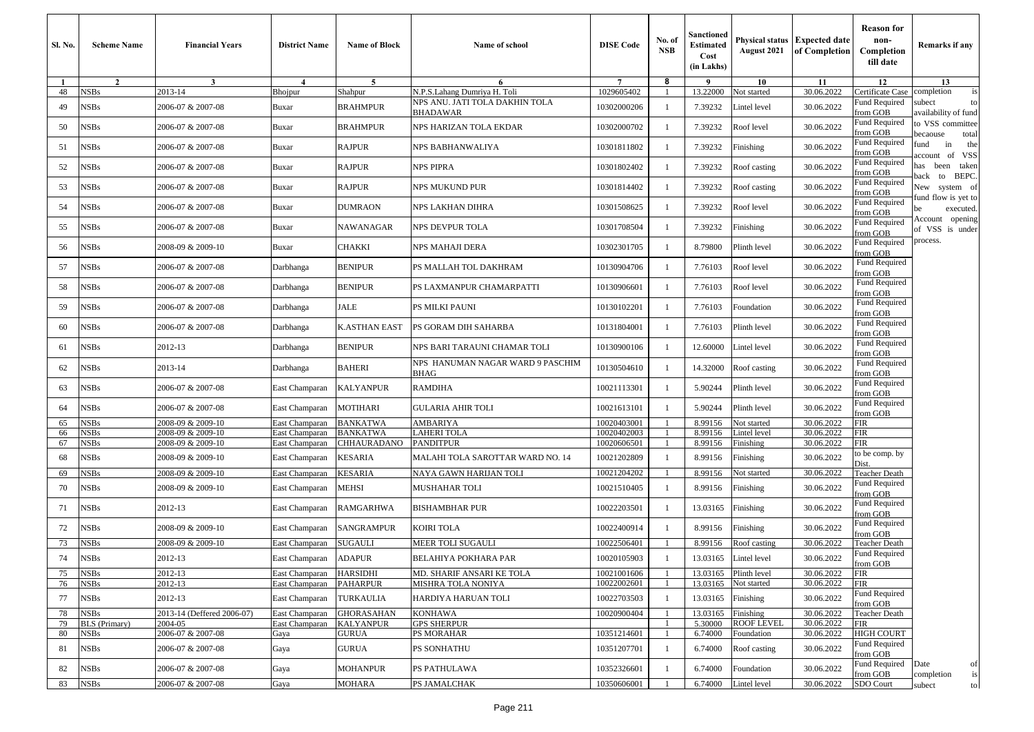| Sl. No.  | <b>Scheme Name</b>           | <b>Financial Years</b>                 | <b>District Name</b>             | <b>Name of Block</b>           | Name of school                                                 | <b>DISE</b> Code           | No. of<br><b>NSB</b> | Sanctioned<br><b>Estimated</b><br>Cost<br>(in Lakhs) | August 2021               | Physical status   Expected date<br>of Completion | <b>Reason for</b><br>non-<br>Completion<br>till date | Remarks if any                         |
|----------|------------------------------|----------------------------------------|----------------------------------|--------------------------------|----------------------------------------------------------------|----------------------------|----------------------|------------------------------------------------------|---------------------------|--------------------------------------------------|------------------------------------------------------|----------------------------------------|
|          | $\overline{2}$               | $\mathbf{3}$                           | $\boldsymbol{4}$                 | $\overline{5}$                 | 6                                                              | $7\overline{ }$            | 8                    | - 9                                                  | 10                        | 11                                               | 12                                                   | 13                                     |
| 48       | <b>NSBs</b>                  | 2013-14                                | <b>Bhojpur</b>                   | Shahpur                        | N.P.S.Lahang Dumriya H. Toli<br>NPS ANU. JATI TOLA DAKHIN TOLA | 1029605402                 |                      | 13.22000                                             | Not started               | 30.06.2022                                       | Certificate Case<br>Fund Required                    | completion<br>is<br>subect<br>to       |
| 49       | NSBs                         | 2006-07 & 2007-08                      | Buxar                            | <b>BRAHMPUR</b>                | <b>BHADAWAR</b>                                                | 10302000206                |                      | 7.39232                                              | Lintel level              | 30.06.2022                                       | from GOB                                             | availability of fund                   |
| 50       | NSBs                         | 2006-07 & 2007-08                      | Buxar                            | BRAHMPUR                       | NPS HARIZAN TOLA EKDAR                                         | 10302000702                |                      | 7.39232                                              | Roof level                | 30.06.2022                                       | Fund Required<br>from GOB                            | to VSS committee<br>ecaouse<br>total   |
| 51       | NSBs                         | 2006-07 & 2007-08                      | Buxar                            | <b>RAJPUR</b>                  | NPS BABHANWALIYA                                               | 10301811802                |                      | 7.39232                                              | Finishing                 | 30.06.2022                                       | Fund Required<br>from GOB                            | in<br>the<br>fund<br>of VSS<br>account |
| 52       | NSBs                         | 2006-07 & 2007-08                      | Buxar                            | <b>RAJPUR</b>                  | NPS PIPRA                                                      | 10301802402                |                      | 7.39232                                              | Roof casting              | 30.06.2022                                       | <b>Fund Required</b><br>from GOB                     | has been taken<br>BEPC.<br>oack<br>to  |
| 53       | NSBs                         | 2006-07 & 2007-08                      | Buxar                            | <b>RAJPUR</b>                  | NPS MUKUND PUR                                                 | 10301814402                |                      | 7.39232                                              | Roof casting              | 30.06.2022                                       | Fund Required<br>from GOB                            | New system of                          |
| 54       | NSBs                         | 2006-07 & 2007-08                      | Buxar                            | <b>DUMRAON</b>                 | NPS LAKHAN DIHRA                                               | 10301508625                |                      | 7.39232                                              | Roof level                | 30.06.2022                                       | Fund Required<br>from GOB                            | und flow is yet to<br>executed.        |
| 55       | <b>NSBs</b>                  | 2006-07 & 2007-08                      | Buxar                            | NAWANAGAR                      | NPS DEVPUR TOLA                                                | 10301708504                |                      | 7.39232                                              | Finishing                 | 30.06.2022                                       | Fund Required<br>from GOB                            | Account opening<br>of VSS is under     |
| 56       | <b>NSBs</b>                  | 2008-09 & 2009-10                      | Buxar                            | <b>CHAKKI</b>                  | NPS MAHAJI DERA                                                | 10302301705                |                      | 8.79800                                              | Plinth level              | 30.06.2022                                       | Fund Required<br>from GOB                            | process.                               |
| 57       | NSBs                         | 2006-07 & 2007-08                      | Darbhanga                        | <b>BENIPUR</b>                 | PS MALLAH TOL DAKHRAM                                          | 10130904706                |                      | 7.76103                                              | Roof level                | 30.06.2022                                       | Fund Required<br>from GOB                            |                                        |
| 58       | NSBs                         | 2006-07 & 2007-08                      | Darbhanga                        | <b>BENIPUR</b>                 | PS LAXMANPUR CHAMARPATTI                                       | 10130906601                |                      | 7.76103                                              | Roof level                | 30.06.2022                                       | Fund Required<br>rom GOB                             |                                        |
| 59       | NSBs                         | 2006-07 & 2007-08                      | Darbhanga                        | JALE                           | PS MILKI PAUNI                                                 | 10130102201                |                      | 7.76103                                              | Foundation                | 30.06.2022                                       | Fund Required<br>from GOB                            |                                        |
| 60       | NSBs                         | 2006-07 & 2007-08                      | Darbhanga                        | <b>K.ASTHAN EAST</b>           | PS GORAM DIH SAHARBA                                           | 10131804001                |                      | 7.76103                                              | Plinth level              | 30.06.2022                                       | Fund Required<br>from GOB                            |                                        |
| 61       | NSBs                         | 2012-13                                | Darbhanga                        | <b>BENIPUR</b>                 | NPS BARI TARAUNI CHAMAR TOLI                                   | 10130900106                |                      | 12.60000                                             | Lintel level              | 30.06.2022                                       | Fund Required<br>from GOB                            |                                        |
| 62       | <b>NSBs</b>                  | 2013-14                                | Darbhanga                        | <b>BAHERI</b>                  | NPS HANUMAN NAGAR WARD 9 PASCHIM<br>BHAG                       | 10130504610                |                      | 14.32000                                             | Roof casting              | 30.06.2022                                       | Fund Required<br>from GOB                            |                                        |
| 63       | NSBs                         | 2006-07 & 2007-08                      | East Champaran                   | <b>KALYANPUR</b>               | <b>RAMDIHA</b>                                                 | 10021113301                | $\overline{1}$       | 5.90244                                              | Plinth level              | 30.06.2022                                       | Fund Required<br>from GOB                            |                                        |
| 64       | NSBs                         | 2006-07 & 2007-08                      | East Champaran                   | MOTIHARI                       | <b>GULARIA AHIR TOLI</b>                                       | 10021613101                |                      | 5.90244                                              | Plinth level              | 30.06.2022                                       | Fund Required<br>from GOB                            |                                        |
| 65       | NSBs                         | 2008-09 & 2009-10                      | East Champaran                   | <b>BANKATWA</b>                | AMBARIYA                                                       | 10020403001                |                      | 8.99156                                              | Not started               | 30.06.2022                                       | FIR                                                  |                                        |
| 66<br>67 | <b>NSBs</b><br>NSBs          | 2008-09 & 2009-10<br>2008-09 & 2009-10 | East Champaran<br>East Champaran | <b>BANKATWA</b><br>CHHAURADANO | <b>LAHERI TOLA</b><br><b>PANDITPUR</b>                         | 10020402003<br>10020606501 |                      | 8.99156<br>8.99156                                   | Lintel level<br>Finishing | 30.06.2022<br>30.06.2022                         | FIR<br>FIR                                           |                                        |
| 68       | NSBs                         | 2008-09 & 2009-10                      | East Champaran                   | KESARIA                        | MALAHI TOLA SAROTTAR WARD NO. 14                               | 10021202809                |                      | 8.99156                                              | Finishing                 | 30.06.2022                                       | to be comp. by<br>Dist.                              |                                        |
| 69       | NSBs                         | 2008-09 & 2009-10                      | East Champaran                   | <b>KESARIA</b>                 | NAYA GAWN HARIJAN TOLI                                         | 10021204202                |                      | 8.99156                                              | Not started               | 30.06.2022                                       | Teacher Death                                        |                                        |
| 70       | NSBs                         | 2008-09 & 2009-10                      | East Champaran                   | MEHSI                          | MUSHAHAR TOLI                                                  | 10021510405                |                      | 8.99156                                              | Finishing                 | 30.06.2022                                       | Fund Required<br>from GOB                            |                                        |
| 71       | NSBs                         | 2012-13                                | East Champaran                   | <b>RAMGARHWA</b>               | <b>BISHAMBHAR PUR</b>                                          | 10022203501                |                      | 13.03165                                             | Finishing                 | 30.06.2022                                       | <b>Fund Required</b><br>from GOB                     |                                        |
| 72       | NSBs                         | 2008-09 & 2009-10                      | East Champaran                   | SANGRAMPUR                     | <b>KOIRI TOLA</b>                                              | 10022400914                |                      | 8.99156                                              | Finishing                 | 30.06.2022                                       | Fund Required<br>from GOB                            |                                        |
| 73       | NSBs                         | 2008-09 & 2009-10                      | East Champaran                   | <b>SUGAULI</b>                 | <b>MEER TOLI SUGAUL</b>                                        | 10022506401                |                      | 8.99156                                              | Roof casting              | 30.06.2022                                       | Teacher Death                                        |                                        |
| 74       | <b>NSBs</b>                  | 2012-13                                | East Champaran                   | <b>ADAPUR</b>                  | BELAHIYA POKHARA PAR                                           | 10020105903                |                      | 13.03165                                             | Lintel level              | 30.06.2022                                       | Fund Required<br>from GOB                            |                                        |
| 75       | <b>NSBs</b>                  | 2012-13                                | East Champaran                   | <b>HARSIDHI</b>                | MD. SHARIF ANSARI KE TOLA                                      | 10021001606                |                      | 13.03165                                             | Plinth level              | 30.06.2022                                       | <b>FIR</b>                                           |                                        |
| 76       | <b>NSBs</b>                  | 2012-13                                | East Champaran                   | <b>PAHARPUR</b>                | MISHRA TOLA NONIYA                                             | 10022002601                |                      | 13.03165                                             | Not started               | 30.06.2022                                       | <b>FIR</b><br><b>Fund Required</b>                   |                                        |
| 77       | NSBs                         | 2012-13                                | East Champaran                   | TURKAULIA                      | HARDIYA HARUAN TOLI                                            | 10022703503                |                      | 13.03165                                             | Finishing                 | 30.06.2022                                       | from GOB                                             |                                        |
| 78       | NSBs                         | 2013-14 (Deffered 2006-07)             | East Champaran                   | <b>GHORASAHAN</b>              | <b>KONHAWA</b>                                                 | 10020900404                |                      | 13.03165                                             | Finishing                 | 30.06.2022<br>30.06.2022                         | Teacher Death                                        |                                        |
| 79<br>80 | <b>BLS</b> (Primary)<br>NSBs | 2004-05<br>2006-07 & 2007-08           | East Champaran<br>Gaya           | <b>KALYANPUR</b><br>GURUA      | <b>GPS SHERPUR</b><br>PS MORAHAR                               | 10351214601                |                      | 5.30000<br>6.74000                                   | ROOF LEVEL<br>Foundation  | 30.06.2022                                       | FIR<br>HIGH COURT                                    |                                        |
| 81       | NSBs                         | 2006-07 & 2007-08                      | Gaya                             | GURUA                          | PS SONHATHU                                                    | 10351207701                |                      | 6.74000                                              | Roof casting              | 30.06.2022                                       | <b>Fund Required</b><br>from GOB                     |                                        |
| 82       | <b>NSBs</b>                  | 2006-07 & 2007-08                      | Gaya                             | MOHANPUR                       | PS PATHULAWA                                                   | 10352326601                |                      | 6.74000                                              | Foundation                | 30.06.2022                                       | Fund Required Date<br>from GOB                       | of<br>completion<br>is                 |
| 83       | <b>NSBs</b>                  | 2006-07 & 2007-08                      | Gaya                             | <b>MOHARA</b>                  | PS JAMALCHAK                                                   | 10350606001                |                      | 6.74000                                              | Lintel level              | 30.06.2022                                       | SDO Court                                            | subect<br>to                           |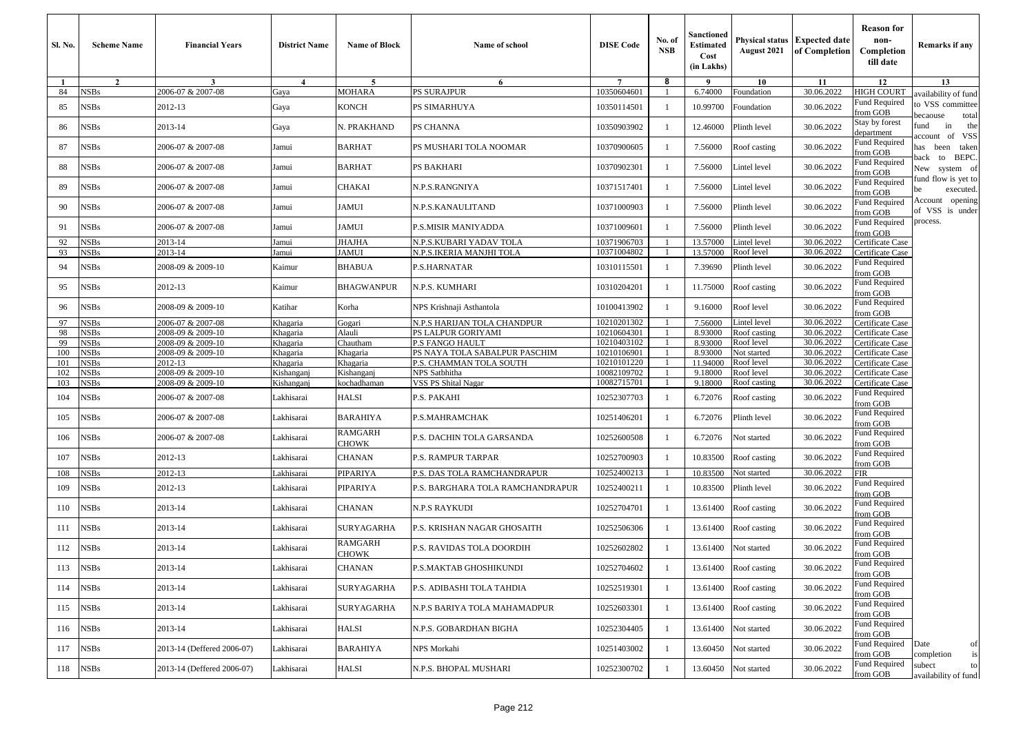| <b>Sl. No.</b> | <b>Scheme Name</b>         | <b>Financial Years</b>                 | <b>District Name</b>     | <b>Name of Block</b>              | Name of school                                           | <b>DISE Code</b>           | No. of<br><b>NSB</b> | Sanctioned<br>Estimated<br>Cost<br>(in Lakhs) | August 2021                          | Physical status   Expected date<br>of Completion | <b>Reason</b> for<br>non-<br>Completion<br>till date     | Remarks if any                                           |
|----------------|----------------------------|----------------------------------------|--------------------------|-----------------------------------|----------------------------------------------------------|----------------------------|----------------------|-----------------------------------------------|--------------------------------------|--------------------------------------------------|----------------------------------------------------------|----------------------------------------------------------|
| -1             | $\overline{2}$             | $\mathbf{3}$                           | $\overline{4}$           | 5                                 | 6                                                        | $7\phantom{.0}$            | 8                    | - 9                                           | 10                                   | 11                                               | 12                                                       | 13                                                       |
| 84<br>85       | <b>NSBs</b><br><b>NSBs</b> | 2006-07 & 2007-08<br>2012-13           | Gaya<br>Gaya             | MOHARA<br><b>KONCH</b>            | <b>PS SURAJPUR</b><br>PS SIMARHUYA                       | 10350604601<br>10350114501 |                      | 6.74000<br>10.99700                           | Foundation<br>Foundation             | 30.06.2022<br>30.06.2022                         | HIGH COURT<br><b>Fund Required</b>                       | wailability of fund<br>to VSS committee                  |
| 86             | NSBs                       | 2013-14                                | Gaya                     | N. PRAKHAND                       | PS CHANNA                                                | 10350903902                |                      | 12.46000                                      | Plinth level                         | 30.06.2022                                       | from GOB<br>Stay by forest<br>department                 | pecaouse<br>total<br>in<br>fund<br>the                   |
| 87             | <b>NSBs</b>                | 2006-07 & 2007-08                      | Jamui                    | <b>BARHAT</b>                     | PS MUSHARI TOLA NOOMAR                                   | 10370900605                |                      | 7.56000                                       | Roof casting                         | 30.06.2022                                       | Fund Required<br>from GOB                                | of VSS<br><b>ccount</b><br>has been taken                |
| 88             | <b>NSBs</b>                | 2006-07 & 2007-08                      | Jamui                    | <b>BARHAT</b>                     | <b>PS BAKHARI</b>                                        | 10370902301                | $\overline{1}$       | 7.56000                                       | Lintel level                         | 30.06.2022                                       | <b>Fund Required</b><br>from GOB                         | back to BEPC.<br>New system of                           |
| 89             | <b>NSBs</b>                | 2006-07 & 2007-08                      | Jamui                    | <b>CHAKAI</b>                     | N.P.S.RANGNIYA                                           | 10371517401                |                      | 7.56000                                       | Lintel level                         | 30.06.2022                                       | Fund Required<br>rom GOB                                 | und flow is yet to<br>executed.<br>be<br>Account opening |
| 90             | <b>NSBs</b>                | 2006-07 & 2007-08                      | Jamui                    | <b>JAMUI</b>                      | N.P.S.KANAULITAND                                        | 10371000903                |                      | 7.56000                                       | Plinth level                         | 30.06.2022                                       | Fund Required<br>rom GOB                                 | of VSS is under                                          |
| 91             | <b>NSBs</b>                | 2006-07 & 2007-08                      | Jamui                    | <b>JAMUI</b>                      | P.S.MISIR MANIYADDA                                      | 10371009601                | -1                   | 7.56000                                       | Plinth level                         | 30.06.2022                                       | Fund Required<br>from GOB                                | process.                                                 |
| 92             | <b>NSBs</b>                | 2013-14                                | Jamui                    | <b>JHAJHA</b>                     | N.P.S.KUBARI YADAV TOLA                                  | 10371906703                |                      | 13.57000                                      | Lintel level                         | 30.06.2022                                       | Certificate Case                                         |                                                          |
| 93             | NSBs                       | 2013-14                                | Jamui                    | <b>JAMUI</b>                      | N.P.S.IKERIA MANJHI TOLA                                 | 10371004802                |                      | 13.57000                                      | Roof level                           | 30.06.2022                                       | Certificate Case                                         |                                                          |
| 94             | <b>NSBs</b>                | 2008-09 & 2009-10                      | Kaimur                   | <b>BHABUA</b>                     | P.S.HARNATAR                                             | 10310115501                |                      | 7.39690                                       | Plinth level                         | 30.06.2022                                       | Fund Required<br>from GOB<br>Fund Required               |                                                          |
| 95<br>96       | <b>NSBs</b><br><b>NSBs</b> | 2012-13<br>2008-09 & 2009-10           | Kaimur<br>Katihar        | <b>BHAGWANPUR</b><br>Korha        | N.P.S. KUMHARI<br>NPS Krishnaji Asthantola               | 10310204201<br>10100413902 |                      | 11.75000<br>9.16000                           | Roof casting<br>Roof level           | 30.06.2022<br>30.06.2022                         | from GOB<br>Fund Required                                |                                                          |
|                |                            |                                        |                          |                                   |                                                          |                            |                      |                                               |                                      |                                                  | from GOB                                                 |                                                          |
| 97             | <b>NSBs</b><br><b>NSBs</b> | 2006-07 & 2007-08<br>2008-09 & 2009-10 | Khagaria                 | Gogari<br>Alauli                  | N.P.S HARIJAN TOLA CHANDPUR<br>PS LALPUR GORIYAMI        | 10210201302<br>10210604301 |                      | 7.56000<br>8.93000                            | Lintel level<br>Roof casting         | 30.06.2022<br>30.06.2022                         | Certificate Case<br>Certificate Case                     |                                                          |
| 98<br>99       | <b>NSBs</b>                | 2008-09 & 2009-10                      | Khagaria<br>Khagaria     | Chautham                          | <b>P.S FANGO HAULT</b>                                   | 10210403102                |                      | 8.93000                                       | Roof level                           | 30.06.2022                                       | Certificate Case                                         |                                                          |
| 100            | <b>NSBs</b>                | 2008-09 & 2009-10                      | Khagaria                 | Khagaria                          | PS NAYA TOLA SABALPUR PASCHIM                            | 10210106901                |                      | 8.93000                                       | Not started                          | 30.06.2022                                       | Certificate Case                                         |                                                          |
| 101            | <b>NSBs</b>                | 2012-13                                | Khagaria                 | Khagaria                          | P.S. CHAMMAN TOLA SOUTH                                  | 10210101220                |                      | 11.94000                                      | Roof level                           | 30.06.2022                                       | Certificate Case                                         |                                                          |
| 102            | <b>NSBs</b>                | 2008-09 & 2009-10                      | Kishanganj               | Kishanganj                        | NPS Satbhitha                                            | 10082109702                |                      | 9.18000                                       | Roof level                           | 30.06.2022                                       | Certificate Case                                         |                                                          |
| 103            | <b>NSBs</b>                | 2008-09 & 2009-10                      | Kishanganj               | kochadhaman                       | VSS PS Shital Nagar                                      | 10082715701                |                      | 9.18000                                       | Roof casting                         | 30.06.2022                                       | Certificate Case                                         |                                                          |
| 104            | <b>NSBs</b>                | 2006-07 & 2007-08                      | Lakhisarai               | <b>HALSI</b>                      | P.S. PAKAHI                                              | 10252307703                |                      | 6.72076                                       | Roof casting                         | 30.06.2022                                       | Fund Required<br>from GOB                                |                                                          |
| 105            | <b>NSBs</b>                | 2006-07 & 2007-08                      | Lakhisarai               | <b>BARAHIYA</b><br><b>RAMGARH</b> | P.S.MAHRAMCHAK                                           | 10251406201                | $\overline{1}$       | 6.72076                                       | Plinth level                         | 30.06.2022                                       | Fund Required<br>from GOB<br>Fund Required               |                                                          |
| 106            | <b>NSBs</b>                | 2006-07 & 2007-08                      | Lakhisarai               | CHOWK                             | P.S. DACHIN TOLA GARSANDA                                | 10252600508                |                      | 6.72076                                       | Not started                          | 30.06.2022                                       | from GOB<br>Fund Required                                |                                                          |
| 107            | <b>NSBs</b>                | 2012-13                                | Lakhisarai               | <b>CHANAN</b>                     | <b>P.S. RAMPUR TARPAR</b>                                | 10252700903                | -1                   | 10.83500                                      | Roof casting                         | 30.06.2022                                       | from GOB                                                 |                                                          |
| 108            | <b>NSBs</b>                | 2012-13                                | Lakhisarai               | PIPARIYA                          | P.S. DAS TOLA RAMCHANDRAPUR                              | 10252400213                |                      | 10.83500                                      | Not started                          | 30.06.2022                                       | FIR                                                      |                                                          |
| 109            | <b>NSBs</b>                | 2012-13                                | Lakhisarai               | PIPARIYA                          | P.S. BARGHARA TOLA RAMCHANDRAPUR                         | 10252400211                |                      | 10.83500                                      | Plinth level                         | 30.06.2022                                       | <b>Fund Required</b><br>from GOB<br><b>Fund Required</b> |                                                          |
| 110            | <b>NSBs</b>                | 2013-14                                | Lakhisarai               | <b>CHANAN</b>                     | <b>N.P.S RAYKUDI</b>                                     | 10252704701                |                      | 13.61400                                      | Roof casting                         | 30.06.2022                                       | from GOB<br>Fund Required                                |                                                          |
| 111<br>112     | <b>NSBs</b><br><b>NSBs</b> | 2013-14<br>2013-14                     | Lakhisarai<br>Lakhisarai | SURYAGARHA<br>RAMGARH             | P.S. KRISHAN NAGAR GHOSAITH<br>P.S. RAVIDAS TOLA DOORDIH | 10252506306<br>10252602802 |                      | 13.61400<br>13.61400                          | Roof casting                         | 30.06.2022<br>30.06.2022                         | from GOB<br>Fund Required                                |                                                          |
| 113            | <b>NSBs</b>                | 2013-14                                | Lakhisarai               | CHOWK<br><b>CHANAN</b>            | P.S.MAKTAB GHOSHIKUNDI                                   | 10252704602                |                      |                                               | Not started<br>13.61400 Roof casting | 30.06.2022                                       | from GOB<br><b>Fund Required</b>                         |                                                          |
| 114            | <b>NSBs</b>                | 2013-14                                | Lakhisarai               | SURYAGARHA                        | P.S. ADIBASHI TOLA TAHDIA                                | 10252519301                |                      | 13.61400                                      | Roof casting                         | 30.06.2022                                       | from GOB<br>Fund Required                                |                                                          |
| 115            | <b>NSBs</b>                | 2013-14                                | Lakhisarai               | SURYAGARHA                        | N.P.S BARIYA TOLA MAHAMADPUR                             | 10252603301                |                      | 13.61400                                      | Roof casting                         | 30.06.2022                                       | from GOB<br><b>Fund Required</b>                         |                                                          |
| 116            | <b>NSBs</b>                | 2013-14                                | Lakhisarai               | HALSI                             | N.P.S. GOBARDHAN BIGHA                                   | 10252304405                |                      | 13.61400                                      | Not started                          | 30.06.2022                                       | from GOB<br><b>Fund Required</b>                         |                                                          |
| 117            | <b>NSBs</b>                | 2013-14 (Deffered 2006-07)             | Lakhisarai               | <b>BARAHIYA</b>                   | NPS Morkahi                                              | 10251403002                |                      | 13.60450                                      | Not started                          | 30.06.2022                                       | from GOB<br>Fund Required<br>from GOB                    | Date<br>of<br>is<br>completion                           |
| 118            | <b>NSBs</b>                | 2013-14 (Deffered 2006-07)             | Lakhisarai               | <b>HALSI</b>                      | N.P.S. BHOPAL MUSHARI                                    | 10252300702                | $\overline{1}$       | 13.60450                                      | Not started                          | 30.06.2022                                       | Fund Required<br>from GOB                                | subect<br>to<br>availability of fund                     |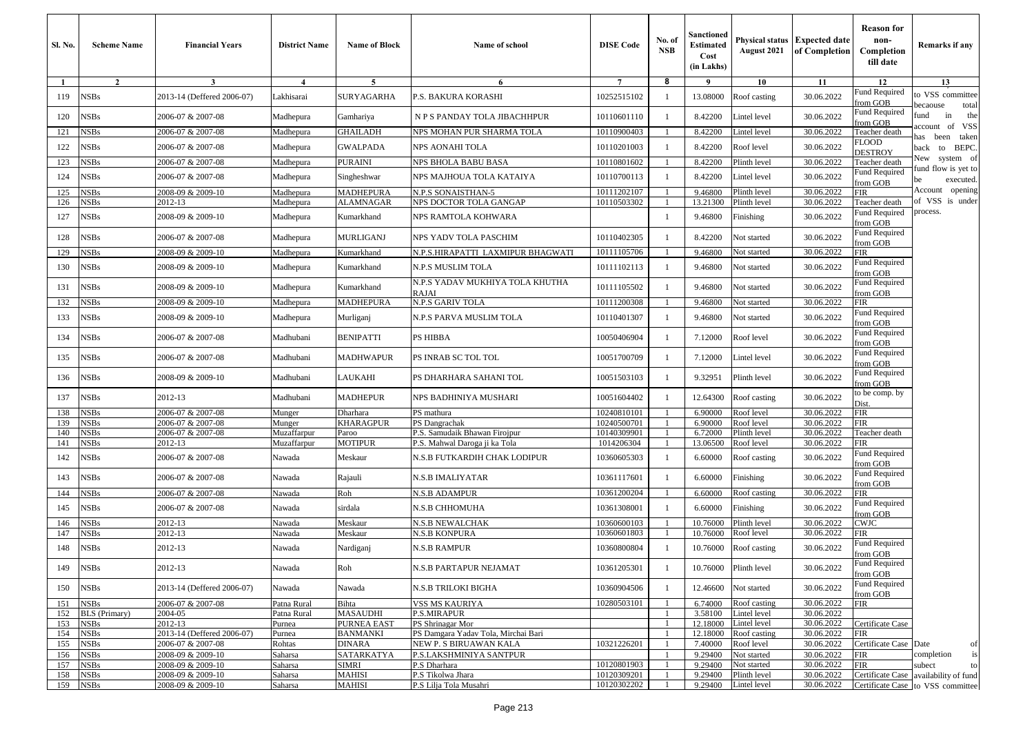| Sl. No.    | <b>Scheme Name</b>                  | <b>Financial Years</b>                 | <b>District Name</b>       | <b>Name of Block</b>           | Name of school                                 | <b>DISE Code</b>           | No. of<br><b>NSB</b> | Sanctioned<br>Estimated<br>Cost<br>(in Lakhs) | August 2021                  | <b>Physical status Expected date</b><br>of Completion | <b>Reason for</b><br>non-<br>Completion<br>till date | Remarks if any                                                             |
|------------|-------------------------------------|----------------------------------------|----------------------------|--------------------------------|------------------------------------------------|----------------------------|----------------------|-----------------------------------------------|------------------------------|-------------------------------------------------------|------------------------------------------------------|----------------------------------------------------------------------------|
| -1         | $\overline{2}$                      | 3                                      | $\boldsymbol{4}$           | 5                              | 6                                              | $\tau$                     | 8                    | 9                                             | 10                           | 11                                                    | 12                                                   | 13                                                                         |
| 119        | NSBs                                | 2013-14 (Deffered 2006-07)             | Lakhisarai                 | SURYAGARHA                     | P.S. BAKURA KORASHI                            | 10252515102                |                      | 13.08000                                      | Roof casting                 | 30.06.2022                                            | Fund Required<br>from GOB                            | to VSS committee                                                           |
| 120        | <b>NSBs</b>                         | 2006-07 & 2007-08                      | Madhepura                  | Gamhariya                      | N P S PANDAY TOLA JIBACHHPUR                   | 10110601110                |                      | 8.42200                                       | Lintel level                 | 30.06.2022                                            | Fund Required<br>from GOB                            | total<br>ecaouse<br>in<br>the<br>und                                       |
| 121        | <b>NSBs</b>                         | 2006-07 & 2007-08                      | Madhepura                  | <b>GHAILADH</b>                | NPS MOHAN PUR SHARMA TOLA                      | 10110900403                |                      | 8.42200                                       | Lintel level                 | 30.06.2022                                            | Teacher death                                        | account of VSS<br>has been taken                                           |
| 122        | <b>NSBs</b>                         | 2006-07 & 2007-08                      | Madhepura                  | <b>GWALPADA</b>                | NPS AONAHI TOLA                                | 10110201003                |                      | 8.42200                                       | Roof level                   | 30.06.2022                                            | FLOOD<br>DESTROY                                     | back to BEPC.                                                              |
| 123        | <b>NSBs</b>                         | 2006-07 & 2007-08                      | Madhepura                  | PURAINI                        | NPS BHOLA BABU BASA                            | 10110801602                |                      | 8.42200                                       | Plinth level                 | 30.06.2022                                            | Teacher death                                        | New system of                                                              |
| 124        | <b>NSBs</b>                         | 2006-07 & 2007-08                      | Madhepura                  | Singheshwar                    | NPS MAJHOUA TOLA KATAIYA                       | 10110700113                |                      | 8.42200                                       | Lintel level                 | 30.06.2022                                            | Fund Required<br>from GOB                            | fund flow is yet to<br>executed.                                           |
| 125        | <b>NSBs</b>                         | 2008-09 & 2009-10                      | Madhepura                  | MADHEPURA                      | N.P.S SONAISTHAN-5                             | 10111202107                |                      | 9.46800                                       | Plinth level                 | 30.06.2022                                            | FIR                                                  | Account opening                                                            |
| 126        | <b>NSBs</b>                         | 2012-13                                | Madhepura                  | <b>ALAMNAGAR</b>               | NPS DOCTOR TOLA GANGAP                         | 10110503302                |                      | 13.21300                                      | Plinth level                 | 30.06.2022                                            | Teacher death                                        | of VSS is under                                                            |
| 127        | <b>NSBs</b>                         | 2008-09 & 2009-10                      | Madhepura                  | Kumarkhand                     | NPS RAMTOLA KOHWARA                            |                            |                      | 9.46800                                       | Finishing                    | 30.06.2022                                            | Fund Required<br>from GOB                            | process.                                                                   |
| 128        | <b>NSBs</b>                         | 2006-07 & 2007-08                      | Madhepura                  | MURLIGANJ                      | NPS YADV TOLA PASCHIM                          | 10110402305                | -1                   | 8.42200                                       | Not started                  | 30.06.2022                                            | Fund Required<br>from GOB                            |                                                                            |
| 129        | <b>NSBs</b>                         | 2008-09 & 2009-10                      | Madhepura                  | Kumarkhand                     | N.P.S.HIRAPATTI  LAXMIPUR BHAGWATI             | 10111105706                |                      | 9.46800                                       | Not started                  | 30.06.2022                                            | FIR                                                  |                                                                            |
| 130        | NSBs                                | 2008-09 & 2009-10                      | Madhepura                  | Kumarkhand                     | N.P.S MUSLIM TOLA                              | 10111102113                | -1                   | 9.46800                                       | Not started                  | 30.06.2022                                            | <b>Fund Required</b><br>from GOB                     |                                                                            |
| 131        | <b>NSBs</b>                         | 2008-09 & 2009-10                      | Madhepura                  | Kumarkhand                     | N.P.S YADAV MUKHIYA TOLA KHUTHA<br>RAJAI       | 10111105502                |                      | 9.46800                                       | Not started                  | 30.06.2022                                            | Fund Required<br>from GOB                            |                                                                            |
| 132        | <b>NSBs</b>                         | 2008-09 & 2009-10                      | Madhepura                  | MADHEPURA                      | N.P.S GARIV TOLA                               | 10111200308                |                      | 9.46800                                       | Not started                  | 30.06.2022                                            | FIR                                                  |                                                                            |
| 133        | <b>NSBs</b>                         | 2008-09 & 2009-10                      | Madhepura                  | Murliganj                      | N.P.S PARVA MUSLIM TOLA                        | 10110401307                |                      | 9.46800                                       | Not started                  | 30.06.2022                                            | Fund Required<br>from GOB                            |                                                                            |
| 134        | <b>NSBs</b>                         | 2006-07 & 2007-08                      | Madhubani                  | BENIPATTI                      | PS HIBBA                                       | 10050406904                | -1                   | 7.12000                                       | Roof level                   | 30.06.2022                                            | Fund Required<br>from GOB                            |                                                                            |
| 135        | <b>NSBs</b>                         | 2006-07 & 2007-08                      | Madhubani                  | <b>MADHWAPUR</b>               | PS INRAB SC TOL TOL                            | 10051700709                |                      | 7.12000                                       | Lintel level                 | 30.06.2022                                            | Fund Required<br>from GOB                            |                                                                            |
| 136        | <b>NSBs</b>                         | 2008-09 & 2009-10                      | Madhubani                  | LAUKAHI                        | PS DHARHARA SAHANI TOL                         | 10051503103                | -1                   | 9.32951                                       | Plinth level                 | 30.06.2022                                            | Fund Required<br>from GOB                            |                                                                            |
| 137        | <b>NSBs</b>                         | 2012-13                                | Madhubani                  | MADHEPUR                       | NPS BADHINIYA MUSHARI                          | 10051604402                | -1                   | 12.64300                                      | Roof casting                 | 30.06.2022                                            | to be comp. by<br>Dist.                              |                                                                            |
| 138        | <b>NSBs</b>                         | 2006-07 & 2007-08                      | Munger                     | Dharhara                       | PS mathura                                     | 10240810101                |                      | 6.90000                                       | Roof level                   | 30.06.2022                                            | FIR                                                  |                                                                            |
| 139<br>140 | <b>NSBs</b><br><b>NSBs</b>          | 2006-07 & 2007-08<br>2006-07 & 2007-08 | Munger<br>Muzaffarpur      | <b>KHARAGPUR</b><br>Paroo      | PS Dangrachak<br>P.S. Samudaik Bhawan Firojpur | 10240500701<br>10140309901 |                      | 6.90000<br>6.72000                            | Roof level<br>Plinth level   | 30.06.2022<br>30.06.2022                              | FIR<br>Teacher death                                 |                                                                            |
| 141        | <b>NSBs</b>                         | 2012-13                                | Muzaffarpur                | MOTIPUR                        | P.S. Mahwal Daroga ji ka Tola                  | 1014206304                 |                      | 13.06500                                      | Roof level                   | 30.06.2022                                            | FIR                                                  |                                                                            |
| 142        | NSBs                                | 2006-07 & 2007-08                      | Nawada                     | Meskaur                        | N.S.B FUTKARDIH CHAK LODIPUR                   | 10360605303                |                      | 6.60000                                       | Roof casting                 | 30.06.2022                                            | Fund Required<br>from GOB                            |                                                                            |
| 143        | <b>NSBs</b>                         | 2006-07 & 2007-08                      | Nawada                     | Rajauli                        | N.S.B IMALIYATAR                               | 10361117601                | -1                   | 6.60000                                       | Finishing                    | 30.06.2022                                            | Fund Required<br>from GOB                            |                                                                            |
| 144        | <b>NSBs</b>                         | 2006-07 & 2007-08                      | Nawada                     | Roh                            | N.S.B ADAMPUR                                  | 10361200204                | -1                   | 6.60000                                       | Roof casting                 | 30.06.2022                                            | FIR                                                  |                                                                            |
| 145        | <b>NSBs</b>                         | 2006-07 & 2007-08                      | Nawada                     | sirdala                        | N.S.B CHHOMUHA                                 | 10361308001                |                      | 6.60000                                       | Finishing                    | 30.06.2022                                            | Fund Required<br>from GOB                            |                                                                            |
| 146        | <b>NSBs</b>                         | 2012-13                                | Nawada                     | Meskaur                        | N.S.B NEWALCHAK                                | 10360600103                |                      | 10.76000                                      | Plinth level                 | 30.06.2022                                            | CWJC                                                 |                                                                            |
| 147        | <b>NSBs</b>                         | 2012-13                                | Nawada                     | Meskaur                        | N.S.B KONPURA                                  | 10360601803                |                      | 10.76000                                      | Roof level                   | 30.06.2022                                            | FIR                                                  |                                                                            |
| 148        | <b>NSBs</b>                         | 2012-13                                | Nawada                     | Nardiganj                      | N.S.B RAMPUR                                   | 10360800804                |                      | 10.76000                                      | Roof casting                 | 30.06.2022                                            | Fund Required<br>from GOB                            |                                                                            |
| 149        | <b>NSBs</b>                         | 2012-13                                | Nawada                     | Roh                            | N.S.B PARTAPUR NEJAMAT                         | 10361205301                |                      | 10.76000                                      | Plinth level                 | 30.06.2022                                            | Fund Required<br>from GOB                            |                                                                            |
| 150        | <b>NSBs</b>                         | 2013-14 (Deffered 2006-07)             | Nawada                     | Nawada                         | N.S.B TRILOKI BIGHA                            | 10360904506                | $\overline{1}$       | 12.46600                                      | Not started                  | 30.06.2022                                            | Fund Required<br>from GOB                            |                                                                            |
| 151<br>152 | <b>NSBs</b><br><b>BLS</b> (Primary) | 2006-07 & 2007-08<br>2004-05           | Patna Rural<br>Patna Rural | Bihta<br>MASAUDHI              | VSS MS KAURIYA<br>P.S.MIRAPUR                  | 10280503101                |                      | 6.74000<br>3.58100                            | Roof casting<br>Lintel level | 30.06.2022<br>30.06.2022                              | FIR                                                  |                                                                            |
| 153        | <b>NSBs</b>                         | 2012-13                                | Purnea                     | PURNEA EAST                    | PS Shrinagar Mor                               |                            |                      | 12.18000                                      | Lintel level                 | 30.06.2022                                            | Certificate Case                                     |                                                                            |
| 154        | <b>NSBs</b>                         | 2013-14 (Deffered 2006-07)             | Purnea                     | BANMANKI                       | PS Damgara Yadav Tola, Mirchai Bari            |                            |                      | 12.18000                                      | Roof casting                 | 30.06.2022                                            | FIR                                                  |                                                                            |
| 155        | <b>NSBs</b>                         | 2006-07 & 2007-08                      | Rohtas                     | DINARA                         | NEW P. S BIRUAWAN KALA                         | 10321226201                |                      | 7.40000                                       | Roof level                   | 30.06.2022                                            | Certificate Case Date                                | of                                                                         |
| 156        | <b>NSBs</b>                         | 2008-09 & 2009-10                      | Saharsa                    | SATARKATYA                     | P.S.LAKSHMINIYA SANTPUR                        |                            | -1                   | 9.29400                                       | Not started                  | 30.06.2022                                            | FIR                                                  | is<br>completion                                                           |
| 157        | <b>NSBs</b>                         | 2008-09 & 2009-10                      | Saharsa                    | SIMRI                          | P.S Dharhara                                   | 10120801903                |                      | 9.29400                                       | Not started                  | 30.06.2022                                            | FIR                                                  | subect<br>to                                                               |
| 158<br>159 | <b>NSBs</b><br><b>NSBs</b>          | 2008-09 & 2009-10<br>2008-09 & 2009-10 | Saharsa<br>Saharsa         | <b>MAHISI</b><br><b>MAHISI</b> | P.S Tikolwa Jhara<br>P.S Lilja Tola Musahri    | 10120309201<br>10120302202 | $\overline{1}$       | 9.29400<br>9.29400                            | Plinth level<br>Lintel level | 30.06.2022<br>30.06.2022                              |                                                      | Certificate Case availability of fund<br>Certificate Case to VSS committee |
|            |                                     |                                        |                            |                                |                                                |                            |                      |                                               |                              |                                                       |                                                      |                                                                            |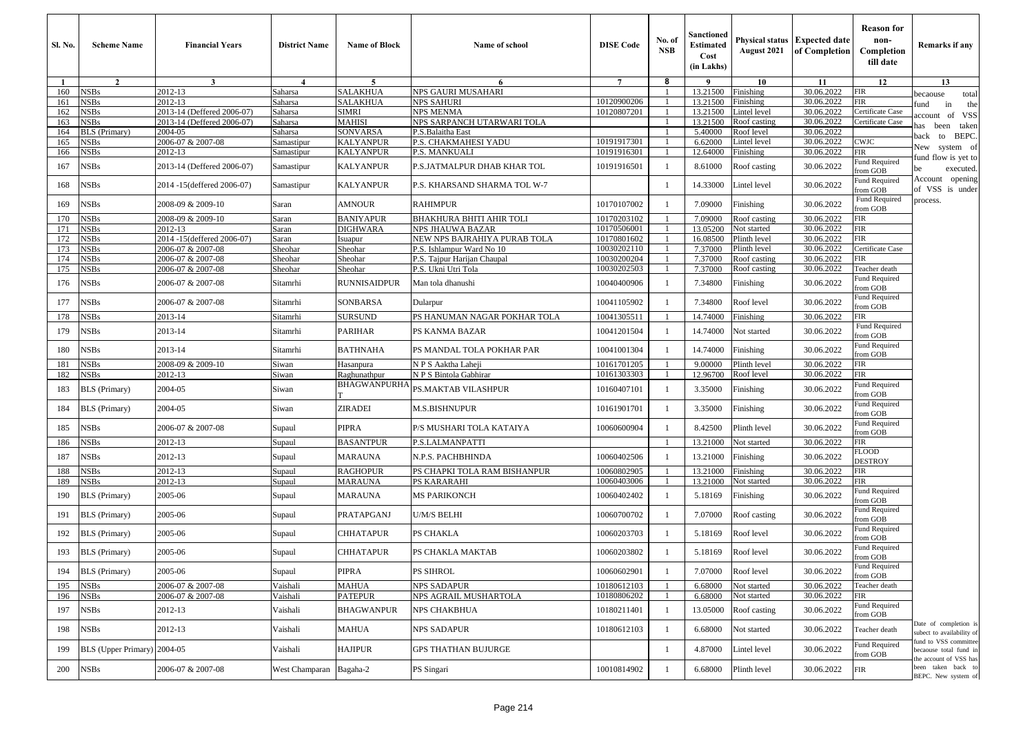| Sl. No.      | <b>Scheme Name</b>         | <b>Financial Years</b>                                   | <b>District Name</b>   | <b>Name of Block</b> | Name of school                                           | <b>DISE</b> Code           | No. of<br><b>NSB</b> | Sanctioned<br><b>Estimated</b><br>Cost<br>(in Lakhs) | August 2021                  | <b>Physical status Expected date</b><br>of Completion | <b>Reason for</b><br>non-<br>Completion<br>till date | Remarks if any                                                              |
|--------------|----------------------------|----------------------------------------------------------|------------------------|----------------------|----------------------------------------------------------|----------------------------|----------------------|------------------------------------------------------|------------------------------|-------------------------------------------------------|------------------------------------------------------|-----------------------------------------------------------------------------|
| $\mathbf{1}$ | $\overline{2}$             | $\overline{3}$                                           | $\boldsymbol{\Lambda}$ | $\sim$               | 6                                                        | $\tau$                     | 8                    | -9                                                   | 10                           | 11                                                    | 12                                                   | 13                                                                          |
| 160          | <b>NSBs</b>                | 2012-13                                                  | Saharsa                | SALAKHUA             | NPS GAURI MUSAHARI                                       |                            |                      | 13.21500                                             | Finishing                    | 30.06.2022                                            | FIR                                                  | ecaouse<br>total                                                            |
| 161          | <b>NSBs</b>                | 2012-13                                                  | Saharsa                | SALAKHUA             | NPS SAHURI                                               | 10120900206<br>10120807201 |                      | 13.21500                                             | Finishing                    | 30.06.2022<br>30.06.2022                              | FIR<br>Certificate Case                              | in<br>und<br>the                                                            |
| 162<br>163   | <b>NSBs</b><br><b>NSBs</b> | 2013-14 (Deffered 2006-07)<br>2013-14 (Deffered 2006-07) | Saharsa<br>Saharsa     | SIMRI<br>MAHISI      | NPS MENMA<br>NPS SARPANCH UTARWARI TOLA                  |                            |                      | 13.21500<br>13.21500                                 | Lintel level<br>Roof casting | 30.06.2022                                            | Certificate Case                                     | of VSS<br>iccount                                                           |
| 164          | <b>BLS</b> (Primary)       | 2004-05                                                  | Saharsa                | SONVARSA             | P.S.Balaitha East                                        |                            |                      | 5.40000                                              | Roof level                   | 30.06.2022                                            |                                                      | as been<br>taken                                                            |
| 165          | <b>NSBs</b>                | 2006-07 & 2007-08                                        | Samastipur             | <b>KALYANPUR</b>     | P.S. CHAKMAHESI YADU                                     | 10191917301                | $\overline{1}$       | 6.62000                                              | Lintel level                 | 30.06.2022                                            | <b>CWJC</b>                                          | BEPC.<br>ack to                                                             |
| 166          | <b>NSBs</b>                | 2012-13                                                  | Samastipur             | <b>KALYANPUR</b>     | P.S. MANKUALI                                            | 10191916301                | -1                   | 12.64000                                             | Finishing                    | 30.06.2022                                            | FIR                                                  | New system of                                                               |
| 167          | <b>NSBs</b>                | 2013-14 (Deffered 2006-07)                               | Samastipur             | <b>KALYANPUR</b>     | P.S.JATMALPUR DHAB KHAR TOL                              | 10191916501                | - 1                  | 8.61000                                              | Roof casting                 | 30.06.2022                                            | Fund Required<br>from GOB                            | und flow is yet to<br>executed.<br>œ                                        |
| 168          | <b>NSBs</b>                | 2014 -15(deffered 2006-07)                               | Samastipur             | KALYANPUR            | P.S. KHARSAND SHARMA TOL W-7                             |                            | - 1                  | 14.33000                                             | Lintel level                 | 30.06.2022                                            | und Required<br>rom GOB                              | Account opening<br>of VSS is under                                          |
| 169          | <b>NSBs</b>                | 2008-09 & 2009-10                                        | Saran                  | AMNOUR               | RAHIMPUR                                                 | 10170107002                | -1                   | 7.09000                                              | Finishing                    | 30.06.2022                                            | Fund Required<br>rom GOB                             | process.                                                                    |
| 170          | <b>NSBs</b>                | 2008-09 & 2009-10                                        | Saran                  | <b>BANIYAPUR</b>     | BHAKHURA BHITI AHIR TOLI                                 | 10170203102                | $\overline{1}$       | 7.09000                                              | Roof casting                 | 30.06.2022                                            | FIR                                                  |                                                                             |
| 171          | <b>NSBs</b>                | 2012-13                                                  | Saran                  | <b>DIGHWARA</b>      | NPS JHAUWA BAZAR                                         | 10170506001                |                      | 13.05200                                             | Not started                  | 30.06.2022                                            | FIR                                                  |                                                                             |
| 172          | <b>NSBs</b>                | 2014 -15(deffered 2006-07)                               | Saran                  | Isuapur              | NEW NPS BAJRAHIYA PURAB TOLA                             | 10170801602                | $\overline{1}$       | 16.08500                                             | Plinth level                 | 30.06.2022                                            | FIR                                                  |                                                                             |
| 173<br>174   | <b>NSBs</b><br><b>NSBs</b> | 2006-07 & 2007-08<br>2006-07 & 2007-08                   | Sheohar<br>Sheohar     | Sheohar<br>Sheohar   | P.S. Ishlampur Ward No 10<br>P.S. Tajpur Harijan Chaupal | 10030202110<br>10030200204 |                      | 7.37000<br>7.37000                                   | Plinth level<br>Roof casting | 30.06.2022<br>30.06.2022                              | Certificate Case<br>FIR                              |                                                                             |
| 175          | <b>NSBs</b>                | 2006-07 & 2007-08                                        | Sheohar                | Sheohar              | P.S. Ukni Utri Tola                                      | 10030202503                |                      | 7.37000                                              | Roof casting                 | 30.06.2022                                            | <b>Teacher</b> death                                 |                                                                             |
| 176          | <b>NSBs</b>                | 2006-07 & 2007-08                                        | Sitamrhi               | RUNNISAIDPUR         | Man tola dhanushi                                        | 10040400906                |                      | 7.34800                                              | Finishing                    | 30.06.2022                                            | Fund Required<br>rom GOB                             |                                                                             |
| 177          | <b>NSBs</b>                | 2006-07 & 2007-08                                        | Sitamrhi               | SONBARSA             | Dularpur                                                 | 10041105902                | - 1                  | 7.34800                                              | Roof level                   | 30.06.2022                                            | Fund Required<br>rom GOB                             |                                                                             |
| 178          | <b>NSBs</b>                | 2013-14                                                  | Sitamrhi               | <b>SURSUND</b>       | PS HANUMAN NAGAR POKHAR TOLA                             | 10041305511                |                      | 14.74000                                             | Finishing                    | 30.06.2022                                            | ΠR                                                   |                                                                             |
| 179          | <b>NSBs</b>                | 2013-14                                                  | Sitamrhi               | PARIHAR              | PS KANMA BAZAR                                           | 10041201504                | - 1                  | 14.74000                                             | Not started                  | 30.06.2022                                            | Fund Required<br>rom GOB                             |                                                                             |
| 180          | <b>NSBs</b>                | 2013-14                                                  | Sitamrhi               | <b>BATHNAHA</b>      | PS MANDAL TOLA POKHAR PAR                                | 10041001304                | - 1                  | 14.74000                                             | Finishing                    | 30.06.2022                                            | Fund Required<br>rom GOB                             |                                                                             |
| 181          | <b>NSBs</b>                | 2008-09 & 2009-10                                        | Siwan                  | Hasanpura            | N P S Aaktha Laheii                                      | 10161701205                |                      | 9.00000                                              | Plinth level                 | 30.06.2022                                            | FIR                                                  |                                                                             |
| 182          | <b>NSBs</b>                | 2012-13                                                  | Siwan                  | Raghunathpur         | N P S Bintola Gabhirar                                   | 10161303303                |                      | 12.96700                                             | Roof level                   | 30.06.2022                                            | FIR                                                  |                                                                             |
| 183          | <b>BLS</b> (Primary)       | 2004-05                                                  | Siwan                  | BHAGWANPURHA         | PS.MAKTAB VILASHPUR                                      | 10160407101                | -1                   | 3.35000                                              | Finishing                    | 30.06.2022                                            | Fund Required<br>rom GOB                             |                                                                             |
| 184          | <b>BLS</b> (Primary)       | 2004-05                                                  | Siwan                  | ZIRADEI              | M.S.BISHNUPUR                                            | 10161901701                | - 1                  | 3.35000                                              | Finishing                    | 30.06.2022                                            | Fund Required<br>rom GOB                             |                                                                             |
| 185          | <b>NSBs</b>                | 2006-07 & 2007-08                                        | Supaul                 | <b>PIPRA</b>         | P/S MUSHARI TOLA KATAIYA                                 | 10060600904                |                      | 8.42500                                              | Plinth level                 | 30.06.2022                                            | und Required<br>from GOB                             |                                                                             |
| 186          | <b>NSBs</b>                | 2012-13                                                  | Supaul                 | <b>BASANTPUR</b>     | P.S.LALMANPATTI                                          |                            |                      | 13.21000                                             | Not started                  | 30.06.2022                                            | FIR<br>LOOD                                          |                                                                             |
| 187          | <b>NSBs</b>                | 2012-13                                                  | Supaul                 | MARAUNA              | N.P.S. PACHBHINDA                                        | 10060402506                | -1                   | 13.21000                                             | Finishing                    | 30.06.2022                                            | DESTROY                                              |                                                                             |
| 188          | <b>NSBs</b>                | 2012-13                                                  | Supaul                 | RAGHOPUR             | PS CHAPKI TOLA RAM BISHANPUR                             | 10060802905                |                      | 13.21000                                             | Finishing                    | 30.06.2022                                            | FIR                                                  |                                                                             |
| 189          | <b>NSBs</b>                | 2012-13                                                  | Supaul                 | <b>MARAUNA</b>       | PS KARARAHI                                              | 10060403006                |                      | 13.21000                                             | Not started                  | 30.06.2022                                            | FIR                                                  |                                                                             |
| 190          | <b>BLS</b> (Primary)       | 2005-06                                                  | Supaul                 | MARAUNA              | MS PARIKONCH                                             | 10060402402                | - 1                  | 5.18169                                              | Finishing                    | 30.06.2022                                            | und Required<br>rom GOB                              |                                                                             |
| 191          | <b>BLS</b> (Primary)       | 2005-06                                                  | Supaul                 | PRATAPGANJ           | U/M/S BELHI                                              | 10060700702                | -1                   | 7.07000                                              | Roof casting                 | 30.06.2022                                            | Fund Required<br>rom GOB                             |                                                                             |
| 192          | <b>BLS</b> (Primary)       | 2005-06                                                  | Supaul                 | CHHATAPUR            | PS CHAKLA                                                | 10060203703                |                      | 5.18169                                              | Roof level                   | 30.06.2022                                            | Fund Required<br>rom GOB                             |                                                                             |
| 193          | <b>BLS</b> (Primary)       | 2005-06                                                  | Supaul                 | <b>CHHATAPUR</b>     | PS CHAKLA MAKTAB                                         | 10060203802                | - 1                  | 5.18169                                              | Roof level                   | 30.06.2022                                            | und Required<br>from GOB                             |                                                                             |
| 194          | <b>BLS</b> (Primary)       | 2005-06                                                  | Supaul                 | PIPRA                | PS SIHROL                                                | 10060602901                | -1                   | 7.07000                                              | Roof level                   | 30.06.2022                                            | und Required<br>from GOB                             |                                                                             |
| 195          | <b>NSBs</b>                | 2006-07 & 2007-08                                        | Vaishali               | <b>MAHUA</b>         | <b>NPS SADAPUR</b>                                       | 10180612103                |                      | 6.68000                                              | Not started                  | 30.06.2022                                            | Feacher death                                        |                                                                             |
| 196          | <b>NSBs</b>                | 2006-07 & 2007-08                                        | Vaishali               | PATEPUR              | NPS AGRAIL MUSHARTOLA                                    | 10180806202                |                      | 6.68000                                              | Not started                  | 30.06.2022                                            | FIR                                                  |                                                                             |
| 197          | <b>NSBs</b>                | 2012-13                                                  | Vaishali               | <b>BHAGWANPUR</b>    | NPS CHAKBHUA                                             | 10180211401                | $\overline{1}$       | 13.05000                                             | Roof casting                 | 30.06.2022                                            | Tund Required<br>rom GOB                             |                                                                             |
| 198          | NSBs                       | 2012-13                                                  | Vaishali               | MAHUA                | NPS SADAPUR                                              | 10180612103                | -1                   | 6.68000                                              | Not started                  | 30.06.2022                                            | Teacher death                                        | Date of completion is<br>subect to availability of<br>fund to VSS committee |
| 199          | <b>BLS</b> (Upper Primary) | 2004-05                                                  | Vaishali               | <b>HAJIPUR</b>       | GPS THATHAN BUJURGE                                      |                            | - 1                  | 4.87000                                              | Lintel level                 | 30.06.2022                                            | Fund Required<br>from GOB                            | becaouse total fund in<br>he account of VSS has                             |
| 200          | <b>NSBs</b>                | 2006-07 & 2007-08                                        | West Champaran         | Bagaha-2             | PS Singari                                               | 10010814902                |                      | 6.68000                                              | Plinth level                 | 30.06.2022                                            | <b>FIR</b>                                           | been taken back to<br>BEPC. New system of                                   |